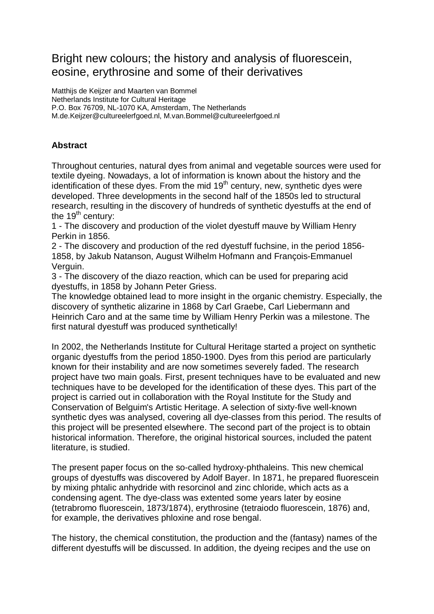## Bright new colours; the history and analysis of fluorescein, eosine, erythrosine and some of their derivatives

Matthijs de Keijzer and Maarten van Bommel Netherlands Institute for Cultural Heritage P.O. Box 76709, NL-1070 KA, Amsterdam, The Netherlands M.de.Keijzer@cultureelerfgoed.nl, M.van.Bommel@cultureelerfgoed.nl

## **Abstract**

Throughout centuries, natural dyes from animal and vegetable sources were used for textile dyeing. Nowadays, a lot of information is known about the history and the identification of these dyes. From the mid  $19<sup>th</sup>$  century, new, synthetic dyes were developed. Three developments in the second half of the 1850s led to structural research, resulting in the discovery of hundreds of synthetic dyestuffs at the end of the  $19<sup>th</sup>$  century:

1 - The discovery and production of the violet dyestuff mauve by William Henry Perkin in 1856.

2 - The discovery and production of the red dyestuff fuchsine, in the period 1856- 1858, by Jakub Natanson, August Wilhelm Hofmann and François-Emmanuel Verguin.

3 - The discovery of the diazo reaction, which can be used for preparing acid dyestuffs, in 1858 by Johann Peter Griess.

The knowledge obtained lead to more insight in the organic chemistry. Especially, the discovery of synthetic alizarine in 1868 by Carl Graebe, Carl Liebermann and Heinrich Caro and at the same time by William Henry Perkin was a milestone. The first natural dyestuff was produced synthetically!

In 2002, the Netherlands Institute for Cultural Heritage started a project on synthetic organic dyestuffs from the period 1850-1900. Dyes from this period are particularly known for their instability and are now sometimes severely faded. The research project have two main goals. First, present techniques have to be evaluated and new techniques have to be developed for the identification of these dyes. This part of the project is carried out in collaboration with the Royal Institute for the Study and Conservation of Belguim's Artistic Heritage. A selection of sixty-five well-known synthetic dyes was analysed, covering all dye-classes from this period. The results of this project will be presented elsewhere. The second part of the project is to obtain historical information. Therefore, the original historical sources, included the patent literature, is studied.

The present paper focus on the so-called hydroxy-phthaleins. This new chemical groups of dyestuffs was discovered by Adolf Bayer. In 1871, he prepared fluorescein by mixing phtalic anhydride with resorcinol and zinc chloride, which acts as a condensing agent. The dye-class was extented some years later by eosine (tetrabromo fluorescein, 1873/1874), erythrosine (tetraiodo fluorescein, 1876) and, for example, the derivatives phloxine and rose bengal.

The history, the chemical constitution, the production and the (fantasy) names of the different dyestuffs will be discussed. In addition, the dyeing recipes and the use on